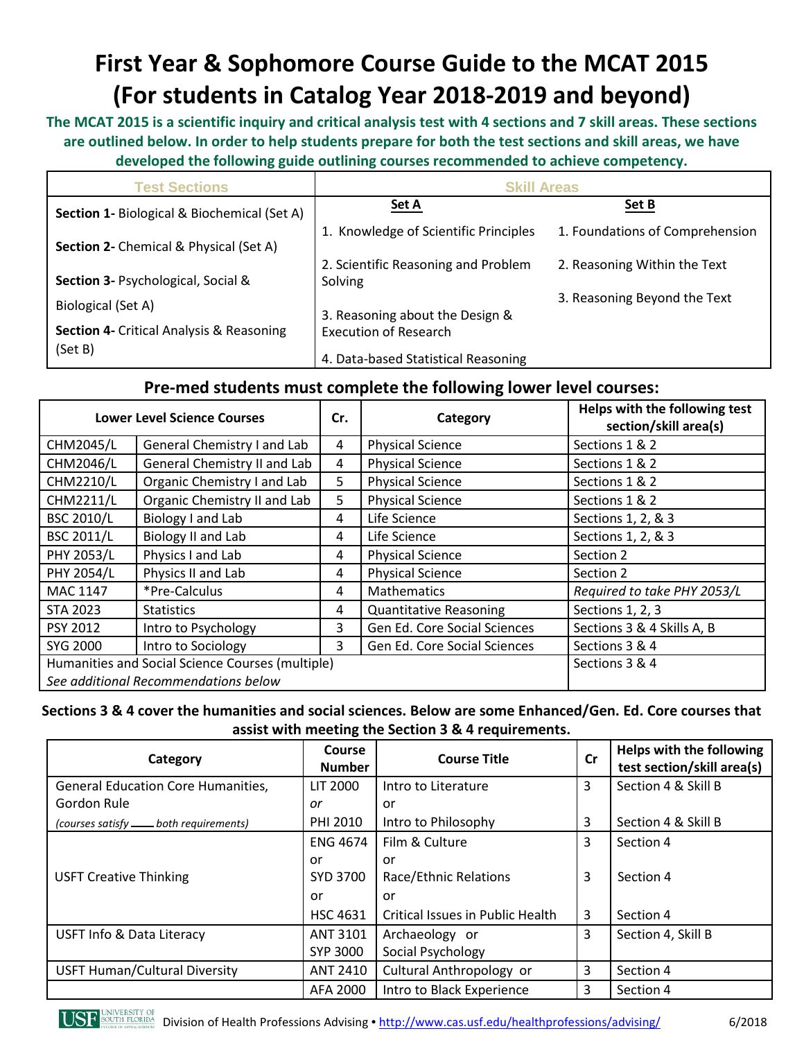# **First Year & Sophomore Course Guide to the MCAT 2015 (For students in Catalog Year 2018-2019 and beyond)**

**The MCAT 2015 is a scientific inquiry and critical analysis test with 4 sections and 7 skill areas. These sections are outlined below. In order to help students prepare for both the test sections and skill areas, we have developed the following guide outlining courses recommended to achieve competency.**

| <b>Test Sections</b>                                   | <b>Skill Areas</b>                             |                                 |  |  |
|--------------------------------------------------------|------------------------------------------------|---------------------------------|--|--|
| <b>Section 1- Biological &amp; Biochemical (Set A)</b> | Set A                                          | Set B                           |  |  |
| <b>Section 2- Chemical &amp; Physical (Set A)</b>      | 1. Knowledge of Scientific Principles          | 1. Foundations of Comprehension |  |  |
| <b>Section 3- Psychological, Social &amp;</b>          | 2. Scientific Reasoning and Problem<br>Solving | 2. Reasoning Within the Text    |  |  |
| Biological (Set A)                                     | 3. Reasoning about the Design &                | 3. Reasoning Beyond the Text    |  |  |
| <b>Section 4- Critical Analysis &amp; Reasoning</b>    | <b>Execution of Research</b>                   |                                 |  |  |
| (Set B)                                                | 4. Data-based Statistical Reasoning            |                                 |  |  |

### **Pre-med students must complete the following lower level courses:**

| <b>Lower Level Science Courses</b>               |                              | Cr. | Category                      | Helps with the following test<br>section/skill area(s) |
|--------------------------------------------------|------------------------------|-----|-------------------------------|--------------------------------------------------------|
| CHM2045/L                                        | General Chemistry I and Lab  | 4   | <b>Physical Science</b>       | Sections 1 & 2                                         |
| CHM2046/L                                        | General Chemistry II and Lab | 4   | <b>Physical Science</b>       | Sections 1 & 2                                         |
| CHM2210/L                                        | Organic Chemistry I and Lab  | 5   | <b>Physical Science</b>       | Sections 1 & 2                                         |
| CHM2211/L                                        | Organic Chemistry II and Lab | 5   | <b>Physical Science</b>       | Sections 1 & 2                                         |
| <b>BSC 2010/L</b>                                | Biology I and Lab            | 4   | Life Science                  | Sections 1, 2, & 3                                     |
| <b>BSC 2011/L</b>                                | <b>Biology II and Lab</b>    | 4   | Life Science                  | Sections 1, 2, & 3                                     |
| <b>PHY 2053/L</b>                                | Physics I and Lab            | 4   | <b>Physical Science</b>       | Section 2                                              |
| <b>PHY 2054/L</b>                                | Physics II and Lab           | 4   | <b>Physical Science</b>       | Section 2                                              |
| MAC 1147                                         | *Pre-Calculus                | 4   | <b>Mathematics</b>            | Required to take PHY 2053/L                            |
| STA 2023                                         | <b>Statistics</b>            | 4   | <b>Quantitative Reasoning</b> | Sections 1, 2, 3                                       |
| PSY 2012                                         | Intro to Psychology          | 3   | Gen Ed. Core Social Sciences  | Sections 3 & 4 Skills A, B                             |
| SYG 2000                                         | Intro to Sociology           | 3.  | Gen Ed. Core Social Sciences  | Sections 3 & 4                                         |
| Humanities and Social Science Courses (multiple) |                              |     |                               | Sections 3 & 4                                         |
| See additional Recommendations below             |                              |     |                               |                                                        |

### **Sections 3 & 4 cover the humanities and social sciences. Below are some Enhanced/Gen. Ed. Core courses that assist with meeting the Section 3 & 4 requirements.**

| Category                                  | Course<br><b>Number</b> | <b>Course Title</b>              |   | Helps with the following<br>test section/skill area(s) |
|-------------------------------------------|-------------------------|----------------------------------|---|--------------------------------------------------------|
| <b>General Education Core Humanities,</b> | LIT 2000                | Intro to Literature              |   | Section 4 & Skill B                                    |
| Gordon Rule                               | or                      | or                               |   |                                                        |
| (courses satisfy - both requirements)     | PHI 2010                | Intro to Philosophy              | 3 | Section 4 & Skill B                                    |
|                                           | <b>ENG 4674</b>         | Film & Culture                   | 3 | Section 4                                              |
|                                           | or.                     | or                               |   |                                                        |
| <b>USFT Creative Thinking</b>             | SYD 3700                | Race/Ethnic Relations            | 3 | Section 4                                              |
|                                           | or                      | or                               |   |                                                        |
|                                           | HSC 4631                | Critical Issues in Public Health | 3 | Section 4                                              |
| <b>USFT Info &amp; Data Literacy</b>      | <b>ANT 3101</b>         | Archaeology or                   |   | Section 4, Skill B                                     |
|                                           | SYP 3000                | Social Psychology                |   |                                                        |
| <b>USFT Human/Cultural Diversity</b>      | <b>ANT 2410</b>         | Cultural Anthropology or         | 3 | Section 4                                              |
|                                           | AFA 2000                | Intro to Black Experience        | 3 | Section 4                                              |



Division of Health Professions Advising • <http://www.cas.usf.edu/healthprofessions/advising/>6/2018